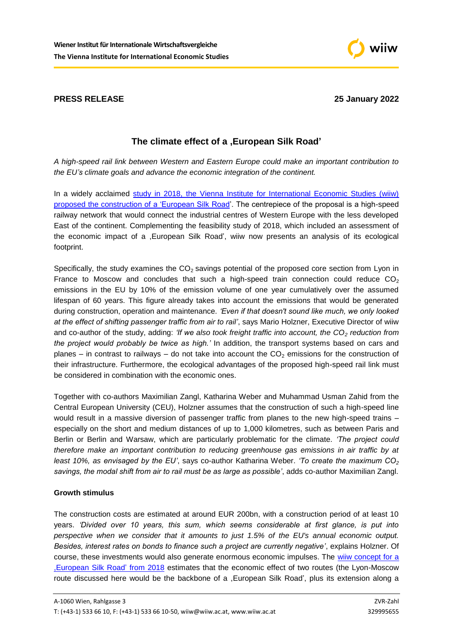



# **The climate effect of a ,European Silk Road'**

*A high-speed rail link between Western and Eastern Europe could make an important contribution to the EU's climate goals and advance the economic integration of the continent.*

In a widely acclaimed study in 2018, the Vienna Institute for International Economic Studies (wiiw) [proposed the construction of a 'European Silk Road'](https://wiiw.ac.at/a-european-silk-road-p-4608.html). The centrepiece of the proposal is a high-speed railway network that would connect the industrial centres of Western Europe with the less developed East of the continent. Complementing the feasibility study of 2018, which included an assessment of the economic impact of a ,European Silk Road', wiiw now presents an analysis of its ecological footprint.

Specifically, the study examines the  $CO<sub>2</sub>$  savings potential of the proposed core section from Lyon in France to Moscow and concludes that such a high-speed train connection could reduce  $CO<sub>2</sub>$ emissions in the EU by 10% of the emission volume of one year cumulatively over the assumed lifespan of 60 years. This figure already takes into account the emissions that would be generated during construction, operation and maintenance. *'Even if that doesn't sound like much, we only looked at the effect of shifting passenger traffic from air to rail'*, says Mario Holzner, Executive Director of wiiw and co-author of the study, adding: *'If we also took freight traffic into account, the CO<sup>2</sup> reduction from the project would probably be twice as high.'* In addition, the transport systems based on cars and planes – in contrast to railways – do not take into account the  $CO<sub>2</sub>$  emissions for the construction of their infrastructure. Furthermore, the ecological advantages of the proposed high-speed rail link must be considered in combination with the economic ones.

Together with co-authors Maximilian Zangl, Katharina Weber and Muhammad Usman Zahid from the Central European University (CEU), Holzner assumes that the construction of such a high-speed line would result in a massive diversion of passenger traffic from planes to the new high-speed trains – especially on the short and medium distances of up to 1,000 kilometres, such as between Paris and Berlin or Berlin and Warsaw, which are particularly problematic for the climate. *'The project could therefore make an important contribution to reducing greenhouse gas emissions in air traffic by at least 10%, as envisaged by the EU'*, says co-author Katharina Weber. *'To create the maximum CO<sup>2</sup> savings, the modal shift from air to rail must be as large as possible'*, adds co-author Maximilian Zangl.

## **Growth stimulus**

The construction costs are estimated at around EUR 200bn, with a construction period of at least 10 years. *'Divided over 10 years, this sum, which seems considerable at first glance, is put into perspective when we consider that it amounts to just 1.5% of the EU's annual economic output. Besides, interest rates on bonds to finance such a project are currently negative'*, explains Holzner. Of course, these investments would also generate enormous economic impulses. The [wiiw concept for a](https://wiiw.ac.at/a-european-silk-road-p-4608.html)  [,European Silk Road'](https://wiiw.ac.at/a-european-silk-road-p-4608.html) from 2018 estimates that the economic effect of two routes (the Lyon-Moscow route discussed here would be the backbone of a ,European Silk Road', plus its extension along a